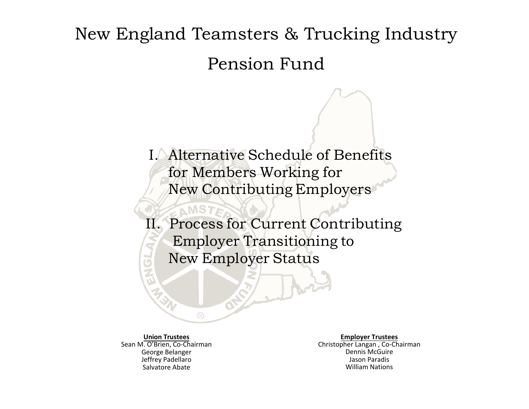# New England Teamsters & Trucking Industry Pension Fund

I. Alternative Schedule of Benefits for Members Working for New Contributing Employers

II. Process for Current Contributing Employer Transitioning to New Employer Status

#### **Union Trustees**

**AMSTE** 

 $\circledR$ 

Sean M. O'Brien, Co-Chairman George Belanger Jeffrey Padellaro Salvatore Abate

#### **Employer Trustees** Christopher Langan , Co-Chairman Dennis McGuire Jason Paradis William Nations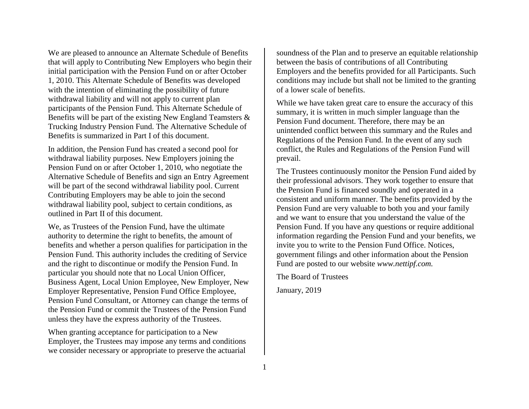We are pleased to announce an Alternate Schedule of Benefits that will apply to Contributing New Employers who begin their initial participation with the Pension Fund on or after October 1, 2010. This Alternate Schedule of Benefits was developed with the intention of eliminating the possibility of future withdrawal liability and will not apply to current plan participants of the Pension Fund. This Alternate Schedule of Benefits will be part of the existing New England Teamsters & Trucking Industry Pension Fund. The Alternative Schedule of Benefits is summarized in Part I of this document.

In addition, the Pension Fund has created a second pool for withdrawal liability purposes. New Employers joining the Pension Fund on or after October 1, 2010, who negotiate the Alternative Schedule of Benefits and sign an Entry Agreement will be part of the second withdrawal liability pool. Current Contributing Employers may be able to join the second withdrawal liability pool, subject to certain conditions, as outlined in Part II of this document.

We, as Trustees of the Pension Fund, have the ultimate authority to determine the right to benefits, the amount of benefits and whether a person qualifies for participation in the Pension Fund. This authority includes the crediting of Service and the right to discontinue or modify the Pension Fund. In particular you should note that no Local Union Officer, Business Agent, Local Union Employee, New Employer, New Employer Representative, Pension Fund Office Employee, Pension Fund Consultant, or Attorney can change the terms of the Pension Fund or commit the Trustees of the Pension Fund unless they have the express authority of the Trustees.

When granting acceptance for participation to a New Employer, the Trustees may impose any terms and conditions we consider necessary or appropriate to preserve the actuarial soundness of the Plan and to preserve an equitable relationship between the basis of contributions of all Contributing Employers and the benefits provided for all Participants. Such conditions may include but shall not be limited to the granting of a lower scale of benefits.

While we have taken great care to ensure the accuracy of this summary, it is written in much simpler language than the Pension Fund document. Therefore, there may be an unintended conflict between this summary and the Rules and Regulations of the Pension Fund. In the event of any such conflict, the Rules and Regulations of the Pension Fund will prevail.

The Trustees continuously monitor the Pension Fund aided by their professional advisors. They work together to ensure that the Pension Fund is financed soundly and operated in a consistent and uniform manner. The benefits provided by the Pension Fund are very valuable to both you and your family and we want to ensure that you understand the value of the Pension Fund. If you have any questions or require additional information regarding the Pension Fund and your benefits, we invite you to write to the Pension Fund Office. Notices, government filings and other information about the Pension Fund are posted to our website *www.nettipf.com.* 

The Board of Trustees

January, 2019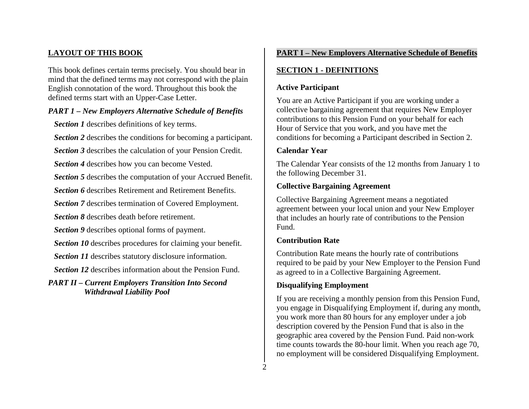# **LAYOUT OF THIS BOOK**

This book defines certain terms precisely. You should bear in mind that the defined terms may not correspond with the plain English connotation of the word. Throughout this book the defined terms start with an Upper-Case Letter.

# *PART 1 – New Employers Alternative Schedule of Benefits*

*Section 1* describes definitions of key terms.

*Section 2* describes the conditions for becoming a participant.

*Section 3* describes the calculation of your Pension Credit.

*Section 4* describes how you can become Vested.

*Section 5* describes the computation of your Accrued Benefit.

*Section 6* describes Retirement and Retirement Benefits.

*Section 7* describes termination of Covered Employment.

*Section 8* describes death before retirement.

*Section 9* describes optional forms of payment.

*Section 10* describes procedures for claiming your benefit.

*Section 11* describes statutory disclosure information.

*Section 12* describes information about the Pension Fund.

*PART II – Current Employers Transition Into Second Withdrawal Liability Pool*

# **PART I – New Employers Alternative Schedule of Benefits**

# **SECTION 1 - DEFINITIONS**

# **Active Participant**

You are an Active Participant if you are working under a collective bargaining agreement that requires New Employer contributions to this Pension Fund on your behalf for each Hour of Service that you work, and you have met the conditions for becoming a Participant described in Section 2.

# **Calendar Year**

The Calendar Year consists of the 12 months from January 1 to the following December 31.

# **Collective Bargaining Agreement**

Collective Bargaining Agreement means a negotiated agreement between your local union and your New Employer that includes an hourly rate of contributions to the Pension Fund.

# **Contribution Rate**

Contribution Rate means the hourly rate of contributions required to be paid by your New Employer to the Pension Fund as agreed to in a Collective Bargaining Agreement.

# **Disqualifying Employment**

If you are receiving a monthly pension from this Pension Fund, you engage in Disqualifying Employment if, during any month, you work more than 80 hours for any employer under a job description covered by the Pension Fund that is also in the geographic area covered by the Pension Fund. Paid non-work time counts towards the 80-hour limit. When you reach age 70, no employment will be considered Disqualifying Employment.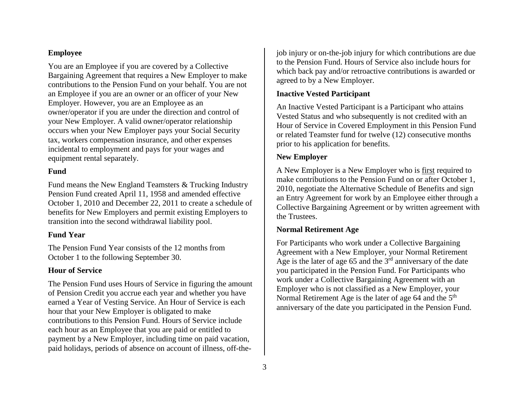## **Employee**

You are an Employee if you are covered by a Collective Bargaining Agreement that requires a New Employer to make contributions to the Pension Fund on your behalf. You are not an Employee if you are an owner or an officer of your New Employer. However, you are an Employee as an owner/operator if you are under the direction and control of your New Employer. A valid owner/operator relationship occurs when your New Employer pays your Social Security tax, workers compensation insurance, and other expenses incidental to employment and pays for your wages and equipment rental separately.

## **Fund**

Fund means the New England Teamsters & Trucking Industry Pension Fund created April 11, 1958 and amended effective October 1, 2010 and December 22, 2011 to create a schedule of benefits for New Employers and permit existing Employers to transition into the second withdrawal liability pool.

## **Fund Year**

The Pension Fund Year consists of the 12 months from October 1 to the following September 30.

# **Hour of Service**

The Pension Fund uses Hours of Service in figuring the amount of Pension Credit you accrue each year and whether you have earned a Year of Vesting Service. An Hour of Service is each hour that your New Employer is obligated to make contributions to this Pension Fund. Hours of Service include each hour as an Employee that you are paid or entitled to payment by a New Employer, including time on paid vacation, paid holidays, periods of absence on account of illness, off-thejob injury or on-the-job injury for which contributions are due to the Pension Fund. Hours of Service also include hours for which back pay and/or retroactive contributions is awarded or agreed to by a New Employer.

## **Inactive Vested Participant**

An Inactive Vested Participant is a Participant who attains Vested Status and who subsequently is not credited with an Hour of Service in Covered Employment in this Pension Fund or related Teamster fund for twelve (12) consecutive months prior to his application for benefits.

## **New Employer**

A New Employer is a New Employer who is first required to make contributions to the Pension Fund on or after October 1, 2010, negotiate the Alternative Schedule of Benefits and sign an Entry Agreement for work by an Employee either through a Collective Bargaining Agreement or by written agreement with the Trustees.

## **Normal Retirement Age**

For Participants who work under a Collective Bargaining Agreement with a New Employer, your Normal Retirement Age is the later of age  $65$  and the  $3<sup>rd</sup>$  anniversary of the date you participated in the Pension Fund. For Participants who work under a Collective Bargaining Agreement with an Employer who is not classified as a New Employer, your Normal Retirement Age is the later of age 64 and the 5<sup>th</sup> anniversary of the date you participated in the Pension Fund.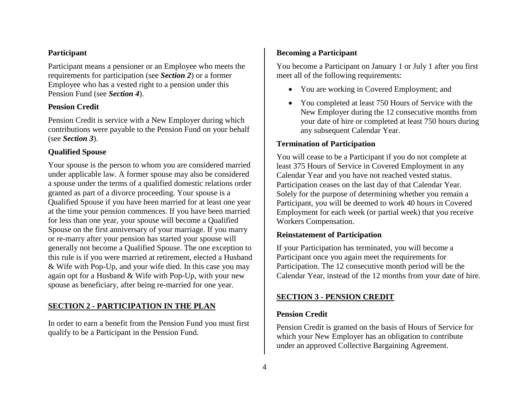#### **Participant**

Participant means a pensioner or an Employee who meets the requirements for participation (see *Section 2*) or a former Employee who has a vested right to a pension under this Pension Fund (see *Section 4*).

#### **Pension Credit**

Pension Credit is service with a New Employer during which contributions were payable to the Pension Fund on your behalf (see *Section 3*).

## **Qualified Spouse**

Your spouse is the person to whom you are considered married under applicable law. A former spouse may also be considered a spouse under the terms of a qualified domestic relations order granted as part of a divorce proceeding. Your spouse is a Qualified Spouse if you have been married for at least one year at the time your pension commences. If you have been married for less than one year, your spouse will become a Qualified Spouse on the first anniversary of your marriage. If you marry or re-marry after your pension has started your spouse will generally not become a Qualified Spouse. The one exception to this rule is if you were married at retirement, elected a Husband & Wife with Pop-Up, and your wife died. In this case you may again opt for a Husband & Wife with Pop-Up, with your new spouse as beneficiary, after being re-married for one year.

## **SECTION 2 - PARTICIPATION IN THE PLAN**

In order to earn a benefit from the Pension Fund you must first qualify to be a Participant in the Pension Fund.

## **Becoming a Participant**

You become a Participant on January 1 or July 1 after you first meet all of the following requirements:

- You are working in Covered Employment; and
- You completed at least 750 Hours of Service with the New Employer during the 12 consecutive months from your date of hire or completed at least 750 hours during any subsequent Calendar Year.

#### **Termination of Participation**

You will cease to be a Participant if you do not complete at least 375 Hours of Service in Covered Employment in any Calendar Year and you have not reached vested status. Participation ceases on the last day of that Calendar Year. Solely for the purpose of determining whether you remain a Participant, you will be deemed to work 40 hours in Covered Employment for each week (or partial week) that you receive Workers Compensation.

#### **Reinstatement of Participation**

If your Participation has terminated, you will become a Participant once you again meet the requirements for Participation. The 12 consecutive month period will be the Calendar Year, instead of the 12 months from your date of hire.

#### **SECTION 3 - PENSION CREDIT**

#### **Pension Credit**

Pension Credit is granted on the basis of Hours of Service for which your New Employer has an obligation to contribute under an approved Collective Bargaining Agreement.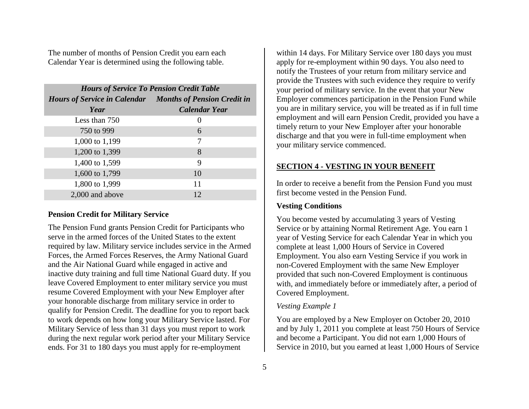The number of months of Pension Credit you earn each Calendar Year is determined using the following table.

| <b>Hours of Service To Pension Credit Table</b>          |                      |  |
|----------------------------------------------------------|----------------------|--|
| Hours of Service in Calendar Months of Pension Credit in |                      |  |
| Year                                                     | <b>Calendar Year</b> |  |
| Less than 750                                            | $\theta$             |  |
| 750 to 999                                               | 6                    |  |
| 1,000 to 1,199                                           | 7                    |  |
| 1,200 to 1,399                                           | 8                    |  |
| 1,400 to 1,599                                           | 9                    |  |
| 1,600 to 1,799                                           | 10                   |  |
| 1,800 to 1,999                                           | 11                   |  |
| 2,000 and above                                          | 12                   |  |

#### **Pension Credit for Military Service**

The Pension Fund grants Pension Credit for Participants who serve in the armed forces of the United States to the extent required by law. Military service includes service in the Armed Forces, the Armed Forces Reserves, the Army National Guard and the Air National Guard while engaged in active and inactive duty training and full time National Guard duty. If you leave Covered Employment to enter military service you must resume Covered Employment with your New Employer after your honorable discharge from military service in order to qualify for Pension Credit. The deadline for you to report back to work depends on how long your Military Service lasted. For Military Service of less than 31 days you must report to work during the next regular work period after your Military Service ends. For 31 to 180 days you must apply for re-employment

within 14 days. For Military Service over 180 days you must apply for re-employment within 90 days. You also need to notify the Trustees of your return from military service and provide the Trustees with such evidence they require to verify your period of military service. In the event that your New Employer commences participation in the Pension Fund while you are in military service, you will be treated as if in full time employment and will earn Pension Credit, provided you have a timely return to your New Employer after your honorable discharge and that you were in full-time employment when your military service commenced.

#### **SECTION 4 - VESTING IN YOUR BENEFIT**

In order to receive a benefit from the Pension Fund you must first become vested in the Pension Fund.

## **Vesting Conditions**

You become vested by accumulating 3 years of Vesting Service or by attaining Normal Retirement Age. You earn 1 year of Vesting Service for each Calendar Year in which you complete at least 1,000 Hours of Service in Covered Employment. You also earn Vesting Service if you work in non-Covered Employment with the same New Employer provided that such non-Covered Employment is continuous with, and immediately before or immediately after, a period of Covered Employment.

#### *Vesting Example 1*

You are employed by a New Employer on October 20, 2010 and by July 1, 2011 you complete at least 750 Hours of Service and become a Participant. You did not earn 1,000 Hours of Service in 2010, but you earned at least 1,000 Hours of Service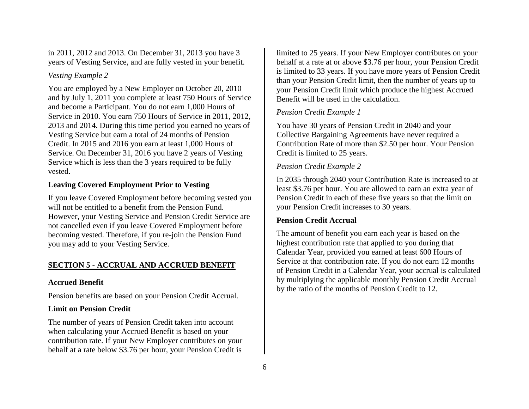in 2011, 2012 and 2013. On December 31, 2013 you have 3 years of Vesting Service, and are fully vested in your benefit.

# *Vesting Example 2*

You are employed by a New Employer on October 20, 2010 and by July 1, 2011 you complete at least 750 Hours of Service and become a Participant. You do not earn 1,000 Hours of Service in 2010. You earn 750 Hours of Service in 2011, 2012, 2013 and 2014. During this time period you earned no years of Vesting Service but earn a total of 24 months of Pension Credit. In 2015 and 2016 you earn at least 1,000 Hours of Service. On December 31, 2016 you have 2 years of Vesting Service which is less than the 3 years required to be fully vested.

# **Leaving Covered Employment Prior to Vesting**

If you leave Covered Employment before becoming vested you will not be entitled to a benefit from the Pension Fund. However, your Vesting Service and Pension Credit Service are not cancelled even if you leave Covered Employment before becoming vested. Therefore, if you re-join the Pension Fund you may add to your Vesting Service.

# **SECTION 5 - ACCRUAL AND ACCRUED BENEFIT**

# **Accrued Benefit**

Pension benefits are based on your Pension Credit Accrual.

# **Limit on Pension Credit**

The number of years of Pension Credit taken into account when calculating your Accrued Benefit is based on your contribution rate. If your New Employer contributes on your behalf at a rate below \$3.76 per hour, your Pension Credit is

limited to 25 years. If your New Employer contributes on your behalf at a rate at or above \$3.76 per hour, your Pension Credit is limited to 33 years. If you have more years of Pension Credit than your Pension Credit limit, then the number of years up to your Pension Credit limit which produce the highest Accrued Benefit will be used in the calculation.

# *Pension Credit Example 1*

You have 30 years of Pension Credit in 2040 and your Collective Bargaining Agreements have never required a Contribution Rate of more than \$2.50 per hour. Your Pension Credit is limited to 25 years.

# *Pension Credit Example 2*

In 2035 through 2040 your Contribution Rate is increased to at least \$3.76 per hour. You are allowed to earn an extra year of Pension Credit in each of these five years so that the limit on your Pension Credit increases to 30 years.

# **Pension Credit Accrual**

The amount of benefit you earn each year is based on the highest contribution rate that applied to you during that Calendar Year, provided you earned at least 600 Hours of Service at that contribution rate. If you do not earn 12 months of Pension Credit in a Calendar Year, your accrual is calculated by multiplying the applicable monthly Pension Credit Accrual by the ratio of the months of Pension Credit to 12.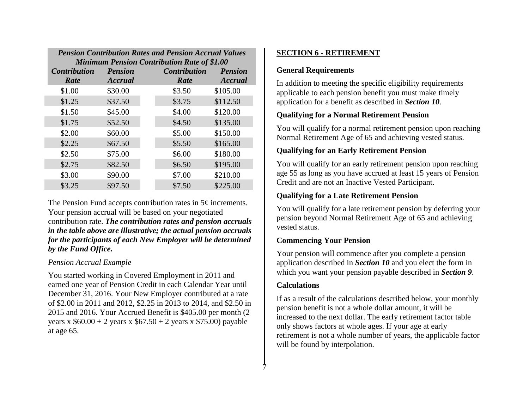| <b>Pension Contribution Rates and Pension Accrual Values</b><br><b>Minimum Pension Contribution Rate of \$1.00</b> |                           |                             |                           |
|--------------------------------------------------------------------------------------------------------------------|---------------------------|-----------------------------|---------------------------|
| <b>Contribution</b><br>Rate                                                                                        | <b>Pension</b><br>Accrual | <b>Contribution</b><br>Rate | <b>Pension</b><br>Accrual |
| \$1.00                                                                                                             | \$30.00                   | \$3.50                      | \$105.00                  |
| \$1.25                                                                                                             | \$37.50                   | \$3.75                      | \$112.50                  |
| \$1.50                                                                                                             | \$45.00                   | \$4.00                      | \$120.00                  |
| \$1.75                                                                                                             | \$52.50                   | \$4.50                      | \$135.00                  |
| \$2.00                                                                                                             | \$60.00                   | \$5.00                      | \$150.00                  |
| \$2.25                                                                                                             | \$67.50                   | \$5.50                      | \$165.00                  |
| \$2.50                                                                                                             | \$75.00                   | \$6.00                      | \$180.00                  |
| \$2.75                                                                                                             | \$82.50                   | \$6.50                      | \$195.00                  |
| \$3.00                                                                                                             | \$90.00                   | \$7.00                      | \$210.00                  |
| \$3.25                                                                                                             | \$97.50                   | \$7.50                      | \$225.00                  |

The Pension Fund accepts contribution rates in  $5¢$  increments. Your pension accrual will be based on your negotiated contribution rate. *The contribution rates and pension accruals in the table above are illustrative; the actual pension accruals for the participants of each New Employer will be determined by the Fund Office.*

# *Pension Accrual Example*

You started working in Covered Employment in 2011 and earned one year of Pension Credit in each Calendar Year until December 31, 2016. Your New Employer contributed at a rate of \$2.00 in 2011 and 2012, \$2.25 in 2013 to 2014, and \$2.50 in 2015 and 2016. Your Accrued Benefit is \$405.00 per month (2 years x  $$60.00 + 2$  years x  $$67.50 + 2$  years x  $$75.00$ ) payable at age 65.

# **SECTION 6 - RETIREMENT**

# **General Requirements**

In addition to meeting the specific eligibility requirements applicable to each pension benefit you must make timely application for a benefit as described in *Section 10*.

# **Qualifying for a Normal Retirement Pension**

You will qualify for a normal retirement pension upon reaching Normal Retirement Age of 65 and achieving vested status.

# **Qualifying for an Early Retirement Pension**

You will qualify for an early retirement pension upon reaching age 55 as long as you have accrued at least 15 years of Pension Credit and are not an Inactive Vested Participant.

# **Qualifying for a Late Retirement Pension**

You will qualify for a late retirement pension by deferring your pension beyond Normal Retirement Age of 65 and achieving vested status.

# **Commencing Your Pension**

Your pension will commence after you complete a pension application described in *Section 10* and you elect the form in which you want your pension payable described in *Section 9*.

# **Calculations**

7

If as a result of the calculations described below, your monthly pension benefit is not a whole dollar amount, it will be increased to the next dollar. The early retirement factor table only shows factors at whole ages. If your age at early retirement is not a whole number of years, the applicable factor will be found by interpolation.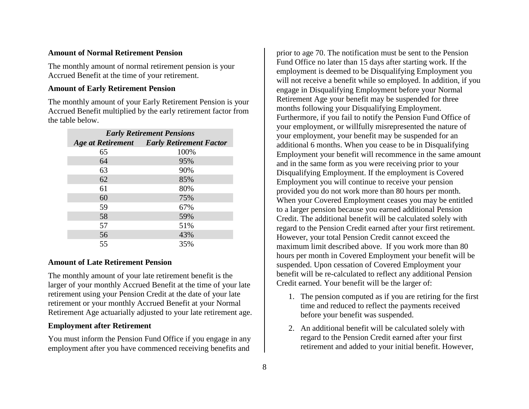#### **Amount of Normal Retirement Pension**

The monthly amount of normal retirement pension is your Accrued Benefit at the time of your retirement.

#### **Amount of Early Retirement Pension**

The monthly amount of your Early Retirement Pension is your Accrued Benefit multiplied by the early retirement factor from the table below.

| <b>Early Retirement Pensions</b> |                                                  |  |
|----------------------------------|--------------------------------------------------|--|
|                                  | <b>Age at Retirement</b> Early Retirement Factor |  |
| 65                               | 100%                                             |  |
| 64                               | 95%                                              |  |
| 63                               | 90%                                              |  |
| 62                               | 85%                                              |  |
| 61                               | 80%                                              |  |
| 60                               | 75%                                              |  |
| 59                               | 67%                                              |  |
| 58                               | 59%                                              |  |
| 57                               | 51%                                              |  |
| 56                               | 43%                                              |  |
| 55                               | 35%                                              |  |

#### **Amount of Late Retirement Pension**

The monthly amount of your late retirement benefit is the larger of your monthly Accrued Benefit at the time of your late retirement using your Pension Credit at the date of your late retirement or your monthly Accrued Benefit at your Normal Retirement Age actuarially adjusted to your late retirement age.

#### **Employment after Retirement**

You must inform the Pension Fund Office if you engage in any employment after you have commenced receiving benefits and

prior to age 70. The notification must be sent to the Pension Fund Office no later than 15 days after starting work. If the employment is deemed to be Disqualifying Employment you will not receive a benefit while so employed. In addition, if you engage in Disqualifying Employment before your Normal Retirement Age your benefit may be suspended for three months following your Disqualifying Employment. Furthermore, if you fail to notify the Pension Fund Office of your employment, or willfully misrepresented the nature of your employment, your benefit may be suspended for an additional 6 months. When you cease to be in Disqualifying Employment your benefit will recommence in the same amount and in the same form as you were receiving prior to your Disqualifying Employment. If the employment is Covered Employment you will continue to receive your pension provided you do not work more than 80 hours per month. When your Covered Employment ceases you may be entitled to a larger pension because you earned additional Pension Credit. The additional benefit will be calculated solely with regard to the Pension Credit earned after your first retirement. However, your total Pension Credit cannot exceed the maximum limit described above. If you work more than 80 hours per month in Covered Employment your benefit will be suspended. Upon cessation of Covered Employment your benefit will be re-calculated to reflect any additional Pension Credit earned. Your benefit will be the larger of:

- 1. The pension computed as if you are retiring for the first time and reduced to reflect the payments received before your benefit was suspended.
- 2. An additional benefit will be calculated solely with regard to the Pension Credit earned after your first retirement and added to your initial benefit. However,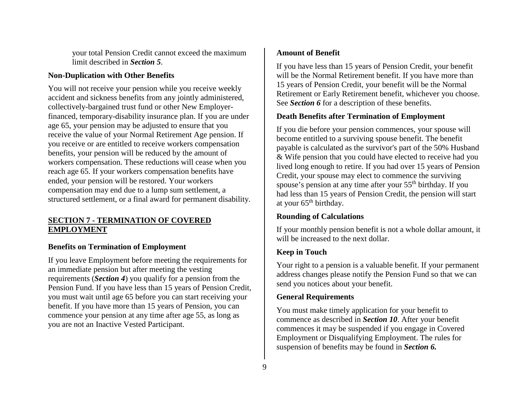your total Pension Credit cannot exceed the maximum limit described in *Section 5*.

# **Non-Duplication with Other Benefits**

You will not receive your pension while you receive weekly accident and sickness benefits from any jointly administered, collectively-bargained trust fund or other New Employerfinanced, temporary-disability insurance plan. If you are under age 65, your pension may be adjusted to ensure that you receive the value of your Normal Retirement Age pension. If you receive or are entitled to receive workers compensation benefits, your pension will be reduced by the amount of workers compensation. These reductions will cease when you reach age 65. If your workers compensation benefits have ended, your pension will be restored. Your workers compensation may end due to a lump sum settlement, a structured settlement, or a final award for permanent disability.

# **SECTION 7 - TERMINATION OF COVERED EMPLOYMENT**

# **Benefits on Termination of Employment**

If you leave Employment before meeting the requirements for an immediate pension but after meeting the vesting requirements (*Section 4*) you qualify for a pension from the Pension Fund. If you have less than 15 years of Pension Credit, you must wait until age 65 before you can start receiving your benefit. If you have more than 15 years of Pension, you can commence your pension at any time after age 55, as long as you are not an Inactive Vested Participant.

# **Amount of Benefit**

If you have less than 15 years of Pension Credit, your benefit will be the Normal Retirement benefit. If you have more than 15 years of Pension Credit, your benefit will be the Normal Retirement or Early Retirement benefit, whichever you choose. See *Section 6* for a description of these benefits.

## **Death Benefits after Termination of Employment**

If you die before your pension commences, your spouse will become entitled to a surviving spouse benefit. The benefit payable is calculated as the survivor's part of the 50% Husband & Wife pension that you could have elected to receive had you lived long enough to retire. If you had over 15 years of Pension Credit, your spouse may elect to commence the surviving spouse's pension at any time after your  $55<sup>th</sup>$  birthday. If you had less than 15 years of Pension Credit, the pension will start at your  $65<sup>th</sup>$  birthday.

# **Rounding of Calculations**

If your monthly pension benefit is not a whole dollar amount, it will be increased to the next dollar.

# **Keep in Touch**

Your right to a pension is a valuable benefit. If your permanent address changes please notify the Pension Fund so that we can send you notices about your benefit.

# **General Requirements**

You must make timely application for your benefit to commence as described in *Section 10*. After your benefit commences it may be suspended if you engage in Covered Employment or Disqualifying Employment. The rules for suspension of benefits may be found in *Section 6.*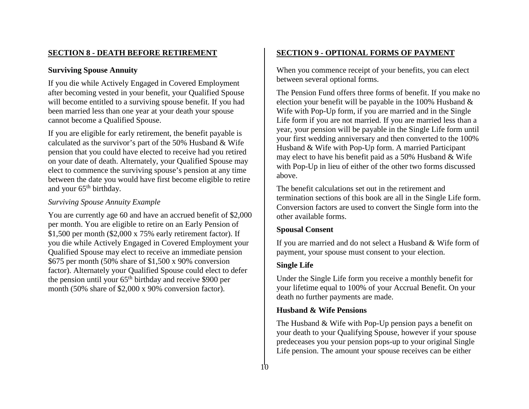## **SECTION 8 - DEATH BEFORE RETIREMENT**

# **Surviving Spouse Annuity**

If you die while Actively Engaged in Covered Employment after becoming vested in your benefit, your Qualified Spouse will become entitled to a surviving spouse benefit. If you had been married less than one year at your death your spouse cannot become a Qualified Spouse.

If you are eligible for early retirement, the benefit payable is calculated as the survivor's part of the 50% Husband & Wife pension that you could have elected to receive had you retired on your date of death. Alternately, your Qualified Spouse may elect to commence the surviving spouse's pension at any time between the date you would have first become eligible to retire and your 65<sup>th</sup> birthday.

# *Surviving Spouse Annuity Example*

You are currently age 60 and have an accrued benefit of \$2,000 per month. You are eligible to retire on an Early Pension of \$1,500 per month (\$2,000 x 75% early retirement factor). If you die while Actively Engaged in Covered Employment your Qualified Spouse may elect to receive an immediate pension \$675 per month (50% share of \$1,500 x 90% conversion factor). Alternately your Qualified Spouse could elect to defer the pension until your  $65<sup>th</sup>$  birthday and receive \$900 per month (50% share of \$2,000 x 90% conversion factor).

# **SECTION 9 - OPTIONAL FORMS OF PAYMENT**

When you commence receipt of your benefits, you can elect between several optional forms.

The Pension Fund offers three forms of benefit. If you make no election your benefit will be payable in the 100% Husband & Wife with Pop-Up form, if you are married and in the Single Life form if you are not married. If you are married less than a year, your pension will be payable in the Single Life form until your first wedding anniversary and then converted to the 100% Husband & Wife with Pop-Up form. A married Participant may elect to have his benefit paid as a 50% Husband & Wife with Pop-Up in lieu of either of the other two forms discussed above.

The benefit calculations set out in the retirement and termination sections of this book are all in the Single Life form. Conversion factors are used to convert the Single form into the other available forms.

# **Spousal Consent**

If you are married and do not select a Husband & Wife form of payment, your spouse must consent to your election.

# **Single Life**

Under the Single Life form you receive a monthly benefit for your lifetime equal to 100% of your Accrual Benefit. On your death no further payments are made.

# **Husband & Wife Pensions**

The Husband & Wife with Pop-Up pension pays a benefit on your death to your Qualifying Spouse, however if your spouse predeceases you your pension pops-up to your original Single Life pension. The amount your spouse receives can be either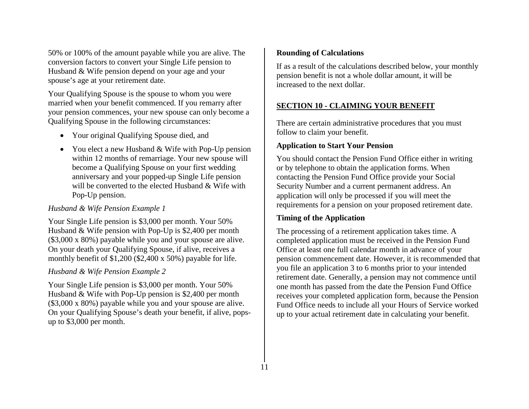50% or 100% of the amount payable while you are alive. The conversion factors to convert your Single Life pension to Husband & Wife pension depend on your age and your spouse's age at your retirement date.

Your Qualifying Spouse is the spouse to whom you were married when your benefit commenced. If you remarry after your pension commences, your new spouse can only become a Qualifying Spouse in the following circumstances:

- Your original Qualifying Spouse died, and
- You elect a new Husband & Wife with Pop-Up pension within 12 months of remarriage. Your new spouse will become a Qualifying Spouse on your first wedding anniversary and your popped-up Single Life pension will be converted to the elected Husband & Wife with Pop-Up pension.

# *Husband & Wife Pension Example 1*

Your Single Life pension is \$3,000 per month. Your 50% Husband & Wife pension with Pop-Up is \$2,400 per month (\$3,000 x 80%) payable while you and your spouse are alive. On your death your Qualifying Spouse, if alive, receives a monthly benefit of \$1,200 (\$2,400 x 50%) payable for life.

# *Husband & Wife Pension Example 2*

Your Single Life pension is \$3,000 per month. Your 50% Husband & Wife with Pop-Up pension is \$2,400 per month (\$3,000 x 80%) payable while you and your spouse are alive. On your Qualifying Spouse's death your benefit, if alive, popsup to \$3,000 per month.

## **Rounding of Calculations**

If as a result of the calculations described below, your monthly pension benefit is not a whole dollar amount, it will be increased to the next dollar.

# **SECTION 10 - CLAIMING YOUR BENEFIT**

There are certain administrative procedures that you must follow to claim your benefit.

## **Application to Start Your Pension**

You should contact the Pension Fund Office either in writing or by telephone to obtain the application forms. When contacting the Pension Fund Office provide your Social Security Number and a current permanent address. An application will only be processed if you will meet the requirements for a pension on your proposed retirement date.

# **Timing of the Application**

The processing of a retirement application takes time. A completed application must be received in the Pension Fund Office at least one full calendar month in advance of your pension commencement date. However, it is recommended that you file an application 3 to 6 months prior to your intended retirement date. Generally, a pension may not commence until one month has passed from the date the Pension Fund Office receives your completed application form, because the Pension Fund Office needs to include all your Hours of Service worked up to your actual retirement date in calculating your benefit.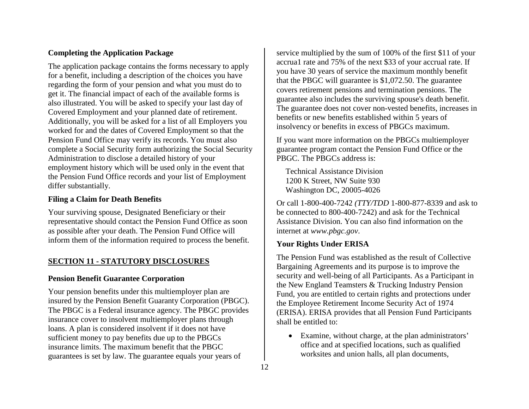# **Completing the Application Package**

The application package contains the forms necessary to apply for a benefit, including a description of the choices you have regarding the form of your pension and what you must do to get it. The financial impact of each of the available forms is also illustrated. You will be asked to specify your last day of Covered Employment and your planned date of retirement. Additionally, you will be asked for a list of all Employers you worked for and the dates of Covered Employment so that the Pension Fund Office may verify its records. You must also complete a Social Security form authorizing the Social Security Administration to disclose a detailed history of your employment history which will be used only in the event that the Pension Fund Office records and your list of Employment differ substantially.

# **Filing a Claim for Death Benefits**

Your surviving spouse, Designated Beneficiary or their representative should contact the Pension Fund Office as soon as possible after your death. The Pension Fund Office will inform them of the information required to process the benefit.

# **SECTION 11 - STATUTORY DISCLOSURES**

## **Pension Benefit Guarantee Corporation**

Your pension benefits under this multiemployer plan are insured by the Pension Benefit Guaranty Corporation (PBGC). The PBGC is a Federal insurance agency. The PBGC provides insurance cover to insolvent multiemployer plans through loans. A plan is considered insolvent if it does not have sufficient money to pay benefits due up to the PBGCs insurance limits. The maximum benefit that the PBGC guarantees is set by law. The guarantee equals your years of

service multiplied by the sum of 100% of the first \$11 of your accrua1 rate and 75% of the next \$33 of your accrual rate. If you have 30 years of service the maximum monthly benefit that the PBGC will guarantee is \$1,072.50. The guarantee covers retirement pensions and termination pensions. The guarantee also includes the surviving spouse's death benefit. The guarantee does not cover non-vested benefits, increases in benefits or new benefits established within 5 years of insolvency or benefits in excess of PBGCs maximum.

If you want more information on the PBGCs multiemployer guarantee program contact the Pension Fund Office or the PBGC. The PBGCs address is:

Technical Assistance Division 1200 K Street, NW Suite 930 Washington DC, 20005-4026

Or call 1-800-400-7242 *(TTY/TDD* 1-800-877-8339 and ask to be connected to 800-400-7242) and ask for the Technical Assistance Division. You can also find information on the internet at *www.pbgc.gov*.

## **Your Rights Under ERISA**

The Pension Fund was established as the result of Collective Bargaining Agreements and its purpose is to improve the security and well-being of all Participants. As a Participant in the New England Teamsters & Trucking Industry Pension Fund, you are entitled to certain rights and protections under the Employee Retirement Income Security Act of 1974 (ERISA). ERISA provides that all Pension Fund Participants shall be entitled to:

• Examine, without charge, at the plan administrators' office and at specified locations, such as qualified worksites and union halls, all plan documents,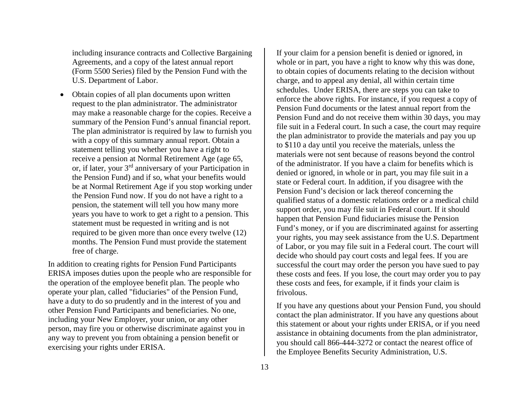including insurance contracts and Collective Bargaining Agreements, and a copy of the latest annual report (Form 5500 Series) filed by the Pension Fund with the U.S. Department of Labor.

• Obtain copies of all plan documents upon written request to the plan administrator. The administrator may make a reasonable charge for the copies. Receive a summary of the Pension Fund's annual financial report. The plan administrator is required by law to furnish you with a copy of this summary annual report. Obtain a statement telling you whether you have a right to receive a pension at Normal Retirement Age (age 65, or, if later, your 3rd anniversary of your Participation in the Pension Fund) and if so, what your benefits would be at Normal Retirement Age if you stop working under the Pension Fund now. If you do not have a right to a pension, the statement will tell you how many more years you have to work to get a right to a pension. This statement must be requested in writing and is not required to be given more than once every twelve (12) months. The Pension Fund must provide the statement free of charge.

In addition to creating rights for Pension Fund Participants ERISA imposes duties upon the people who are responsible for the operation of the employee benefit plan. The people who operate your plan, called "fiduciaries" of the Pension Fund, have a duty to do so prudently and in the interest of you and other Pension Fund Participants and beneficiaries. No one, including your New Employer, your union, or any other person, may fire you or otherwise discriminate against you in any way to prevent you from obtaining a pension benefit or exercising your rights under ERISA.

If your claim for a pension benefit is denied or ignored, in whole or in part, you have a right to know why this was done, to obtain copies of documents relating to the decision without charge, and to appeal any denial, all within certain time schedules. Under ERISA, there are steps you can take to enforce the above rights. For instance, if you request a copy of Pension Fund documents or the latest annual report from the Pension Fund and do not receive them within 30 days, you may file suit in a Federal court. In such a case, the court may require the plan administrator to provide the materials and pay you up to \$110 a day until you receive the materials, unless the materials were not sent because of reasons beyond the control of the administrator. If you have a claim for benefits which is denied or ignored, in whole or in part, you may file suit in a state or Federal court. In addition, if you disagree with the Pension Fund's decision or lack thereof concerning the qualified status of a domestic relations order or a medical child support order, you may file suit in Federal court. If it should happen that Pension Fund fiduciaries misuse the Pension Fund's money, or if you are discriminated against for asserting your rights, you may seek assistance from the U.S. Department of Labor, or you may file suit in a Federal court. The court will decide who should pay court costs and legal fees. If you are successful the court may order the person you have sued to pay these costs and fees. If you lose, the court may order you to pay these costs and fees, for example, if it finds your claim is frivolous.

If you have any questions about your Pension Fund, you should contact the plan administrator. If you have any questions about this statement or about your rights under ERlSA, or if you need assistance in obtaining documents from the plan administrator, you should call 866-444-3272 or contact the nearest office of the Employee Benefits Security Administration, U.S.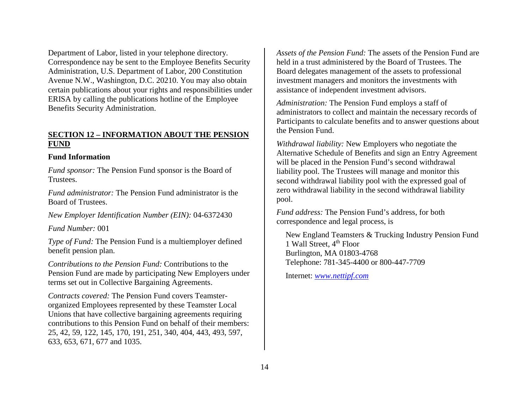Department of Labor, listed in your telephone directory. Correspondence nay be sent to the Employee Benefits Security Administration, U.S. Department of Labor, 200 Constitution Avenue N.W., Washington, D.C. 20210. You may also obtain certain publications about your rights and responsibilities under ERISA by calling the publications hotline of the Employee Benefits Security Administration.

#### **SECTION 12 – INFORMATION ABOUT THE PENSION FUND**

#### **Fund Information**

*Fund sponsor:* The Pension Fund sponsor is the Board of Trustees.

*Fund administrator:* The Pension Fund administrator is the Board of Trustees.

*New Employer Identification Number (EIN):* 04-6372430

*Fund Number:* 001

*Type of Fund:* The Pension Fund is a multiemployer defined benefit pension plan.

*Contributions to the Pension Fund:* Contributions to the Pension Fund are made by participating New Employers under terms set out in Collective Bargaining Agreements.

*Contracts covered:* The Pension Fund covers Teamsterorganized Employees represented by these Teamster Local Unions that have collective bargaining agreements requiring contributions to this Pension Fund on behalf of their members: 25, 42, 59, 122, 145, 170, 191, 251, 340, 404, 443, 493, 597, 633, 653, 671, 677 and 1035.

*Assets of the Pension Fund:* The assets of the Pension Fund are held in a trust administered by the Board of Trustees. The Board delegates management of the assets to professional investment managers and monitors the investments with assistance of independent investment advisors.

*Administration:* The Pension Fund employs a staff of administrators to collect and maintain the necessary records of Participants to calculate benefits and to answer questions about the Pension Fund.

*Withdrawal liability:* New Employers who negotiate the Alternative Schedule of Benefits and sign an Entry Agreement will be placed in the Pension Fund's second withdrawal liability pool. The Trustees will manage and monitor this second withdrawal liability pool with the expressed goal of zero withdrawal liability in the second withdrawal liability pool.

*Fund address:* The Pension Fund's address, for both correspondence and legal process, is

New England Teamsters & Trucking Industry Pension Fund 1 Wall Street, 4<sup>th</sup> Floor Burlington, MA 01803-4768 Telephone: 781-345-4400 or 800-447-7709

Internet: *[www.nettipf.com](http://www.nettipf.com/)*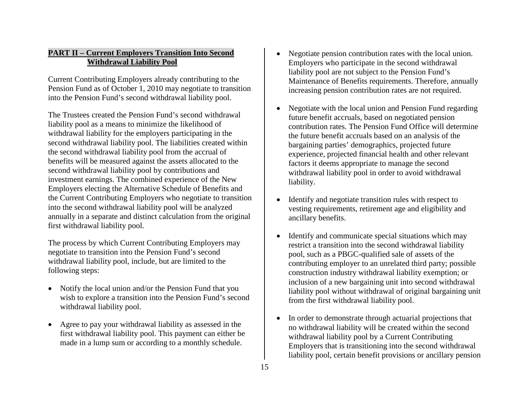# **PART II – Current Employers Transition Into Second Withdrawal Liability Pool**

Current Contributing Employers already contributing to the Pension Fund as of October 1, 2010 may negotiate to transition into the Pension Fund's second withdrawal liability pool.

The Trustees created the Pension Fund's second withdrawal liability pool as a means to minimize the likelihood of withdrawal liability for the employers participating in the second withdrawal liability pool. The liabilities created within the second withdrawal liability pool from the accrual of benefits will be measured against the assets allocated to the second withdrawal liability pool by contributions and investment earnings. The combined experience of the New Employers electing the Alternative Schedule of Benefits and the Current Contributing Employers who negotiate to transition into the second withdrawal liability pool will be analyzed annually in a separate and distinct calculation from the original first withdrawal liability pool.

The process by which Current Contributing Employers may negotiate to transition into the Pension Fund's second withdrawal liability pool, include, but are limited to the following steps:

- Notify the local union and/or the Pension Fund that you wish to explore a transition into the Pension Fund's second withdrawal liability pool.
- Agree to pay your withdrawal liability as assessed in the first withdrawal liability pool. This payment can either be made in a lump sum or according to a monthly schedule.
- Negotiate pension contribution rates with the local union. Employers who participate in the second withdrawal liability pool are not subject to the Pension Fund's Maintenance of Benefits requirements. Therefore, annually increasing pension contribution rates are not required.
- Negotiate with the local union and Pension Fund regarding future benefit accruals, based on negotiated pension contribution rates. The Pension Fund Office will determine the future benefit accruals based on an analysis of the bargaining parties' demographics, projected future experience, projected financial health and other relevant factors it deems appropriate to manage the second withdrawal liability pool in order to avoid withdrawal liability.
- Identify and negotiate transition rules with respect to vesting requirements, retirement age and eligibility and ancillary benefits.
- Identify and communicate special situations which may restrict a transition into the second withdrawal liability pool, such as a PBGC-qualified sale of assets of the contributing employer to an unrelated third party; possible construction industry withdrawal liability exemption; or inclusion of a new bargaining unit into second withdrawal liability pool without withdrawal of original bargaining unit from the first withdrawal liability pool.
- In order to demonstrate through actuarial projections that no withdrawal liability will be created within the second withdrawal liability pool by a Current Contributing Employers that is transitioning into the second withdrawal liability pool, certain benefit provisions or ancillary pension